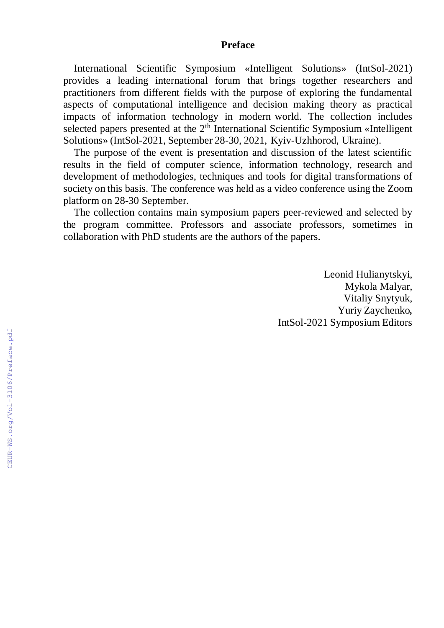## **Preface**

International Scientific Symposium «Intelligent Solutions» (IntSol-2021) provides a leading international forum that brings together researchers and practitioners from different fields with the purpose of exploring the fundamental aspects of computational intelligence and decision making theory as practical impacts of information technology in modern world. The collection includes selected papers presented at the 2<sup>th</sup> International Scientific Symposium «Intelligent Solutions» (IntSol-2021, September 28-30, 2021, Kyiv-Uzhhorod, Ukraine).

The purpose of the event is presentation and discussion of the latest scientific results in the field of computer science, information technology, research and development of methodologies, techniques and tools for digital transformations of society on this basis. The conference was held as a video conference using the Zoom platform on 28-30 September.

The collection contains main symposium papers peer-reviewed and selected by the program committee. Professors and associate professors, sometimes in collaboration with PhD students are the authors of the papers.

> Leonid Hulianytskyi, Mykola Malyar, Vitaliy Snytyuk, Yuriy Zaychenko*,* IntSol-2021 Symposium Editors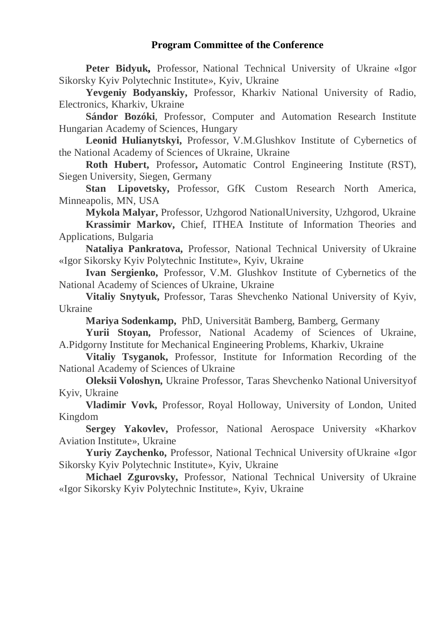## **Program Committee of the Conference**

**Peter Bidyuk,** Professor, National Technical University of Ukraine «Igor Sikorsky Kyiv Polytechnic Institute», Kyiv, Ukraine

**Yevgeniy Bodyanskiy,** Professor, Kharkiv National University of Radio, Electronics, Kharkiv, Ukraine

**Sándor Bozóki**, Professor, Computer and Automation Research Institute Hungarian Academy of Sciences, Hungary

**Leonid Hulianytskyi,** Professor, V.M.Glushkov Institute of Cybernetics of the National Academy of Sciences of Ukraine, Ukraine

**Roth Hubert,** Professor**,** Automatic Control Engineering Institute (RST), Siegen University, Siegen, Germany

**Stan Lipovetsky,** Professor, GfK Custom Research North America, Minneapolis, MN, USA

**Mykola Malyar,** Professor, Uzhgorod NationalUniversity, Uzhgorod, Ukraine

**Krassimir Markov,** Chief, ITHEA Institute of Information Theories and Applications, Bulgaria

**Nataliya Pankratova,** Professor, National Technical University of Ukraine «Igor Sikorsky Kyiv Polytechnic Institute», Kyiv, Ukraine

**Ivan Sergienko,** Professor, V.M. Glushkov Institute of Cybernetics of the National Academy of Sciences of Ukraine, Ukraine

**Vitaliy Snytyuk,** Professor, Taras Shevchenko National University of Kyiv, Ukraine

**Mariya Sodenkamp,** PhD, Universität Bamberg, Bamberg, Germany

**Yurii Stoyan,** Professor, National Academy of Sciences of Ukraine, A.Pidgorny Institute for Mechanical Engineering Problems, Kharkiv, Ukraine

**Vitaliy Tsyganok,** Professor, Institute for Information Recording of the National Academy of Sciences of Ukraine

**Oleksii Voloshyn,** Ukraine Professor, Taras Shevchenko National Universityof Kyiv, Ukraine

**Vladimir Vovk,** Professor, Royal Holloway, University of London, United Kingdom

**Sergey Yakovlev,** Professor, National Aerospace University «Kharkov Aviation Institute», Ukraine

**Yuriy Zaychenko,** Professor, National Technical University ofUkraine «Igor Sikorsky Kyiv Polytechnic Institute», Kyiv, Ukraine

**Michael Zgurovsky,** Professor, National Technical University of Ukraine «Igor Sikorsky Kyiv Polytechnic Institute», Kyiv, Ukraine